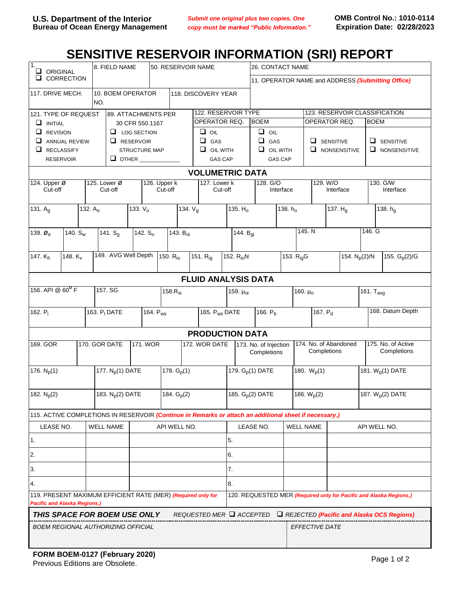## SENSITIVE RESERVOIR INFORMATION (SRI) REPORT

| $\overline{1}$ .<br>u<br>ORIGINAL<br>CORRECTION<br>u                                                                                                                      |                                   |                                     | 8. FIELD NAME        |                         | 50. RESERVOIR NAME |                              |                           |    |                                      | 26. CONTACT NAME                                  |                     |                                      |                       |                                              |                              |  |
|---------------------------------------------------------------------------------------------------------------------------------------------------------------------------|-----------------------------------|-------------------------------------|----------------------|-------------------------|--------------------|------------------------------|---------------------------|----|--------------------------------------|---------------------------------------------------|---------------------|--------------------------------------|-----------------------|----------------------------------------------|------------------------------|--|
|                                                                                                                                                                           |                                   |                                     |                      |                         |                    |                              |                           |    |                                      | 11. OPERATOR NAME and ADDRESS (Submitting Office) |                     |                                      |                       |                                              |                              |  |
| 117. DRIVE MECH.                                                                                                                                                          |                                   | NO.                                 | 10. BOEM OPERATOR    |                         |                    | 118. DISCOVERY YEAR          |                           |    |                                      |                                                   |                     |                                      |                       |                                              |                              |  |
| 121. TYPE OF REQUEST<br>89. ATTACHMENTS PER                                                                                                                               |                                   |                                     |                      |                         |                    |                              | 122. RESERVOIR TYPE       |    |                                      |                                                   |                     | 123. RESERVOIR CLASSIFICATION        |                       |                                              |                              |  |
| $\Box$ INITIAL                                                                                                                                                            |                                   | 30 CFR 550.1167                     |                      |                         |                    | OPERATOR REQ.                |                           |    | <b>BOEM</b>                          |                                                   | OPERATOR REQ.       |                                      |                       | <b>BOEM</b>                                  |                              |  |
| $\Box$ REVISION                                                                                                                                                           |                                   | $\Box$ LOG SECTION                  |                      |                         |                    | $\Box$ $\circ$ <sub>IL</sub> |                           |    | $\Box$ oil                           |                                                   |                     |                                      |                       |                                              |                              |  |
| $\Box$ ANNUAL REVIEW                                                                                                                                                      |                                   | $\Box$ RESERVOIR                    |                      |                         |                    | $\Box$ GAS                   |                           |    | $\Box$<br>GAS                        |                                                   | $\Box$ SENSITIVE    |                                      | $\Box$ SENSITIVE      |                                              |                              |  |
| $\Box$ RECLASSIFY                                                                                                                                                         |                                   |                                     | <b>STRUCTURE MAP</b> |                         |                    |                              | $\Box$ OIL WITH           |    | $\Box$<br><b>OIL WITH</b>            |                                                   | $\Box$ NONSENSITIVE |                                      | $\Box$ NONSENSITIVE   |                                              |                              |  |
| <b>RESERVOIR</b>                                                                                                                                                          |                                   |                                     | $\Box$ OTHER         |                         | <b>GAS CAP</b>     |                              |                           |    | <b>GAS CAP</b>                       |                                                   |                     |                                      |                       |                                              |                              |  |
| <b>VOLUMETRIC DATA</b>                                                                                                                                                    |                                   |                                     |                      |                         |                    |                              |                           |    |                                      |                                                   |                     |                                      |                       |                                              |                              |  |
| 124. Upper Ø<br>Cut-off                                                                                                                                                   |                                   | 125. Lower $\varnothing$<br>Cut-off |                      | 126. Upper k<br>Cut-off |                    |                              | $127.$ Lower k<br>Cut-off |    |                                      | 128. G/O<br>Interface                             |                     | 129. W/O<br>Interface                |                       | 130. G/W<br>Interface                        |                              |  |
| 131. $A_g$                                                                                                                                                                |                                   | 132. $A_0$                          |                      | 133. $V_0$              |                    |                              | 134. $V_{q}$              |    | 135. $Ho$                            | 136. h <sub>o</sub>                               |                     | 137. $Hg$                            |                       | 138. $h_q$                                   |                              |  |
| 139. $\varnothing$ <sub>e</sub>                                                                                                                                           | 140. $S_w$                        |                                     |                      |                         |                    | 143. B <sub>oi</sub>         |                           |    | 144. B <sub>qi</sub>                 |                                                   |                     | 145. N                               |                       | 146. G                                       |                              |  |
|                                                                                                                                                                           |                                   | 141. $S_q$<br>142. $S_0$            |                      |                         |                    |                              |                           |    |                                      |                                                   |                     |                                      |                       |                                              |                              |  |
| 147. Kh                                                                                                                                                                   | 149. AVG Well Depth<br>148. $K_v$ |                                     |                      | 150. R <sub>io</sub>    |                    |                              | 151. $R_{iq}$             |    | 152. R <sub>io</sub> N               |                                                   |                     | 153. $R_{i0}$ G                      |                       | 155. $G_p(2)/G$<br>154. N <sub>p</sub> (2)/N |                              |  |
| <b>FLUID ANALYSIS DATA</b>                                                                                                                                                |                                   |                                     |                      |                         |                    |                              |                           |    |                                      |                                                   |                     |                                      |                       |                                              |                              |  |
| 156. API @ 60 <sup>°</sup> F                                                                                                                                              | 157. SG                           |                                     |                      |                         | $158.R_{si}$       | 159. µoi                     |                           |    |                                      |                                                   | 160. $\mu_0$        |                                      | 161. T <sub>avg</sub> |                                              |                              |  |
|                                                                                                                                                                           |                                   |                                     |                      |                         |                    |                              |                           |    |                                      |                                                   |                     |                                      |                       |                                              |                              |  |
| 162. $P_i$                                                                                                                                                                |                                   | 163. P <sub>I</sub> DATE            |                      |                         | 164. $P_{ws}$      |                              | 165. P <sub>ws</sub> DATE |    |                                      | 166. P <sub>b</sub>                               |                     | 167. P <sub>d</sub>                  |                       | 168. Datum Depth                             |                              |  |
|                                                                                                                                                                           | <b>PRODUCTION DATA</b>            |                                     |                      |                         |                    |                              |                           |    |                                      |                                                   |                     |                                      |                       |                                              |                              |  |
| 169. GOR                                                                                                                                                                  |                                   | 170. GOR DATE                       |                      |                         | 171. WOR           |                              | 172. WOR DATE             |    | 173. No. of Injection<br>Completions |                                                   |                     | 174. No. of Abandoned<br>Completions |                       | 175. No. of Active<br>Completions            |                              |  |
| 176. $N_p(1)$                                                                                                                                                             |                                   | 177. N <sub>p</sub> (1) DATE        |                      |                         |                    | 178. $G_p(1)$                |                           |    | 179. G <sub>p</sub> (1) DATE         |                                                   |                     | 180. $W_p(1)$                        |                       |                                              | 181. W <sub>p</sub> (1) DATE |  |
| 182. $N_p(2)$                                                                                                                                                             |                                   | 183. N <sub>p</sub> (2) DATE        |                      |                         |                    | 184. $G_p(2)$                |                           |    | 185. G <sub>p</sub> (2) DATE         |                                                   |                     | 186. $W_p(2)$                        |                       | 187. W <sub>p</sub> (2) DATE                 |                              |  |
| 115. ACTIVE COMPLETIONS IN RESERVOIR (Continue in Remarks or attach an additional sheet if necessary.)                                                                    |                                   |                                     |                      |                         |                    |                              |                           |    |                                      |                                                   |                     |                                      |                       |                                              |                              |  |
| LEASE NO.                                                                                                                                                                 |                                   | <b>WELL NAME</b>                    |                      | API WELL NO.            |                    |                              |                           |    | LEASE NO.                            |                                                   |                     | <b>WELL NAME</b>                     |                       |                                              | API WELL NO.                 |  |
| 1.                                                                                                                                                                        |                                   |                                     |                      |                         |                    |                              |                           |    | 5.                                   |                                                   |                     |                                      |                       |                                              |                              |  |
| 2.                                                                                                                                                                        |                                   |                                     |                      |                         |                    |                              |                           |    | 6.                                   |                                                   |                     |                                      |                       |                                              |                              |  |
| 3.                                                                                                                                                                        |                                   |                                     |                      |                         |                    |                              |                           |    | 7.                                   |                                                   |                     |                                      |                       |                                              |                              |  |
| 4.                                                                                                                                                                        |                                   |                                     |                      |                         |                    |                              |                           | 8. |                                      |                                                   |                     |                                      |                       |                                              |                              |  |
| 119. PRESENT MAXIMUM EFFICIENT RATE (MER) (Required only for<br>120. REQUESTED MER (Required only for Pacific and Alaska Regions.)<br><b>Pacific and Alaska Regions.)</b> |                                   |                                     |                      |                         |                    |                              |                           |    |                                      |                                                   |                     |                                      |                       |                                              |                              |  |
| THIS SPACE FOR BOEM USE ONLY<br>REQUESTED MER Q ACCEPTED Q REJECTED (Pacific and Alaska OCS Regions)                                                                      |                                   |                                     |                      |                         |                    |                              |                           |    |                                      |                                                   |                     |                                      |                       |                                              |                              |  |
| <b>BOEM REGIONAL AUTHORIZING OFFICIAL</b>                                                                                                                                 |                                   |                                     |                      |                         |                    |                              |                           |    |                                      | <i>EFFECTIVE DATE</i>                             |                     |                                      |                       |                                              |                              |  |